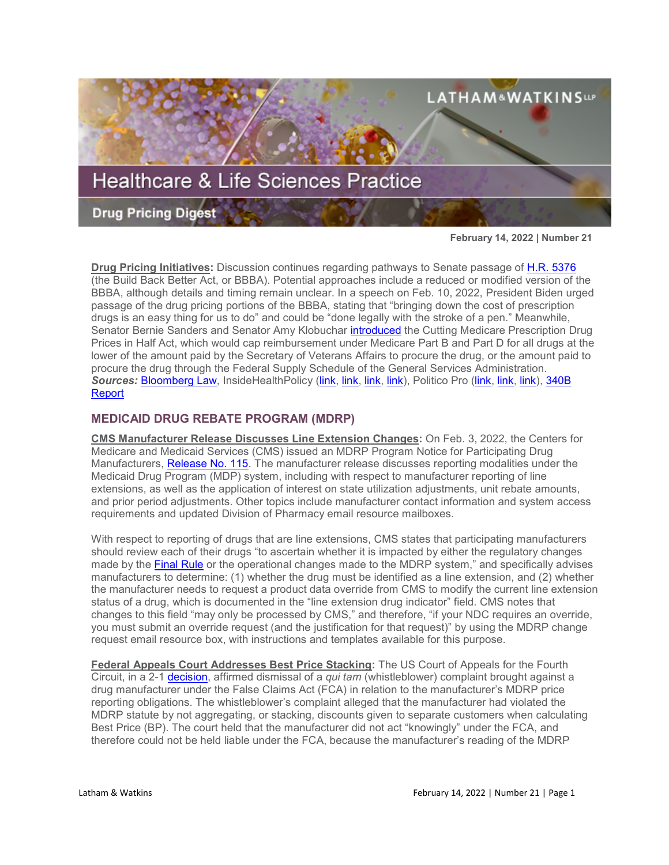

**February 14, 2022 | Number 21**

**Drug Pricing Initiatives:** Discussion continues regarding pathways to Senate passage of [H.R. 5376](https://www.sites.lwcommunicate.com/e/rsuy4ryabtyriig/f831d9cf-6927-4352-a6f9-2b8f768792b1) (the Build Back Better Act, or BBBA). Potential approaches include a reduced or modified version of the BBBA, although details and timing remain unclear. In a speech on Feb. 10, 2022, President Biden urged passage of the drug pricing portions of the BBBA, stating that "bringing down the cost of prescription drugs is an easy thing for us to do" and could be "done legally with the stroke of a pen." Meanwhile, Senator Bernie Sanders and Senator Amy Klobuchar *introduced* the Cutting Medicare Prescription Drug Prices in Half Act, which would cap reimbursement under Medicare Part B and Part D for all drugs at the lower of the amount paid by the Secretary of Veterans Affairs to procure the drug, or the amount paid to procure the drug through the Federal Supply Schedule of the General Services Administration. *Sources:* [Bloomberg Law,](https://www.bloomberglaw.com/bloomberglawnews/exp/eyJjdHh0IjoiSExOVyIsImlkIjoiMDAwMDAxN2UtZTRmMS1kMTM5LWE5ZmYtZTRmOWY1NjIwMDA0Iiwic2lnIjoiaTFFR3llQVlZT3BUY0Y5Um9rcWJYcWVHeS9JPSIsInRpbWUiOiIxNjQ0NTgwMzQzIiwidXVpZCI6Ijh4b0xyWENybzIzMnl3SVVzL01Va1E9PVNJSWpadVRwVFlyS1JUSS9BNDFRcGc9PSIsInYiOiIxIn0=?bwid=0000017e-e4f1-d139-a9ff-e4f9f5620004&cti=LFVL&emc=bhlnw_nl%3A13&et=NEWSLETTER&isAlert=false&item=read-text&qid=7245636®ion=digest&source=newsletter&uc=1320011525&udvType=Alert&usertype=External) InsideHealthPolicy [\(link,](https://insidehealthpolicy.com/daily-news/biden-makes-govt-drug-price-controls-centerpiece-build-back-better) [link,](https://insidehealthpolicy.com/daily-news/pelosi-pledges-bbb-agenda-will-be-fully-offset-fight-inflation) [link,](https://insidehealthpolicy.com/daily-news/sanders-klobuchar-tried-get-senate-debate-their-drug-pricing-bill) [link\)](https://insidehealthpolicy.com/daily-news/clyburn-medicaid-gap-fix-has-support-should-be-passed), Politico Pro [\(link,](https://subscriber.politicopro.com/newsletter/2022/02/biden-tries-to-breathe-new-life-into-drug-price-reforms-00008100) [link,](https://subscriber.politicopro.com/newsletter/2022/02/bidens-arpa-champion-is-mia-00006565) [link\)](https://subscriber.politicopro.com/newsletter/2022/01/bidens-fda-pick-wins-over-warren-00003767), [340B](https://340breport.com/democratic-senators-illness-stalls-action-on-drug-pricing-indefinitely/)  [Report](https://340breport.com/democratic-senators-illness-stalls-action-on-drug-pricing-indefinitely/)

# **MEDICAID DRUG REBATE PROGRAM (MDRP)**

**CMS Manufacturer Release Discusses Line Extension Changes:** On Feb. 3, 2022, the Centers for Medicare and Medicaid Services (CMS) issued an MDRP Program Notice for Participating Drug Manufacturers, [Release No. 115.](https://www.medicaid.gov/prescription-drugs/downloads/mfr-rel-115.pdf) The manufacturer release discusses reporting modalities under the Medicaid Drug Program (MDP) system, including with respect to manufacturer reporting of line extensions, as well as the application of interest on state utilization adjustments, unit rebate amounts, and prior period adjustments. Other topics include manufacturer contact information and system access requirements and updated Division of Pharmacy email resource mailboxes.

With respect to reporting of drugs that are line extensions, CMS states that participating manufacturers should review each of their drugs "to ascertain whether it is impacted by either the regulatory changes made by the [Final Rule](https://www.federalregister.gov/documents/2020/12/31/2020-28567/medicaid-program-establishing-minimum-standards-in-medicaid-state-drug-utilization-review-dur-and) or the operational changes made to the MDRP system," and specifically advises manufacturers to determine: (1) whether the drug must be identified as a line extension, and (2) whether the manufacturer needs to request a product data override from CMS to modify the current line extension status of a drug, which is documented in the "line extension drug indicator" field. CMS notes that changes to this field "may only be processed by CMS," and therefore, "if your NDC requires an override, you must submit an override request (and the justification for that request)" by using the MDRP change request email resource box, with instructions and templates available for this purpose.

**Federal Appeals Court Addresses Best Price Stacking:** The US Court of Appeals for the Fourth Circuit, in a 2-1 [decision,](https://www.ca4.uscourts.gov/opinions/202330.P.pdf) affirmed dismissal of a *qui tam* (whistleblower) complaint brought against a drug manufacturer under the False Claims Act (FCA) in relation to the manufacturer's MDRP price reporting obligations. The whistleblower's complaint alleged that the manufacturer had violated the MDRP statute by not aggregating, or stacking, discounts given to separate customers when calculating Best Price (BP). The court held that the manufacturer did not act "knowingly" under the FCA, and therefore could not be held liable under the FCA, because the manufacturer's reading of the MDRP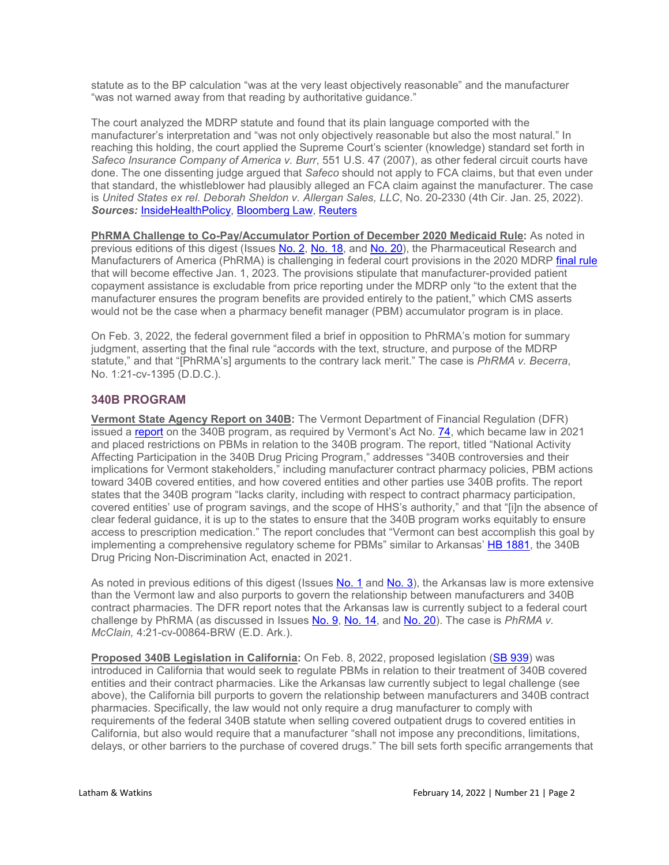statute as to the BP calculation "was at the very least objectively reasonable" and the manufacturer "was not warned away from that reading by authoritative guidance."

The court analyzed the MDRP statute and found that its plain language comported with the manufacturer's interpretation and "was not only objectively reasonable but also the most natural." In reaching this holding, the court applied the Supreme Court's scienter (knowledge) standard set forth in *Safeco Insurance Company of America v. Burr*, 551 U.S. 47 (2007), as other federal circuit courts have done. The one dissenting judge argued that *Safeco* should not apply to FCA claims, but that even under that standard, the whistleblower had plausibly alleged an FCA claim against the manufacturer. The case is *United States ex rel. Deborah Sheldon v. Allergan Sales, LLC*, No. 20-2330 (4th Cir. Jan. 25, 2022). *Sources:* [InsideHealthPolicy,](https://insidehealthpolicy.com/daily-news/dissenting-judge-ruling-best-price-suit-%E2%80%98neuters%E2%80%99-false-claims-act) [Bloomberg Law,](https://news.bloomberglaw.com/us-law-week/allergan-win-in-medicaid-drug-rebate-program-fraud-case-upheld) [Reuters](https://www.reuters.com/legal/transactional/whistleblowers-face-high-bar-show-false-claims-us-appeals-court-2022-01-25/)

**PhRMA Challenge to Co-Pay/Accumulator Portion of December 2020 Medicaid Rule:** As noted in previous editions of this digest (Issues [No. 2,](https://www.lw.com/thoughtLeadership/healthcare-life-sciences-drug-pricing-digest-number-20) [No. 18,](https://www.lw.com/thoughtLeadership/healthcare-life-sciences-drug-pricing-digest-number-18) and [No. 20\)](https://www.lw.com/thoughtLeadership/healthcare-life-sciences-drug-pricing-digest-number-20), the Pharmaceutical Research and Manufacturers of America (PhRMA) is challenging in federal court provisions in the 2020 MDRP [final rule](https://www.sites.lwcommunicate.com/e/uuu9mnnma9jf9g/6eb3ea58-6a04-43f5-af0f-ffb06f73adac) that will become effective Jan. 1, 2023. The provisions stipulate that manufacturer-provided patient copayment assistance is excludable from price reporting under the MDRP only "to the extent that the manufacturer ensures the program benefits are provided entirely to the patient," which CMS asserts would not be the case when a pharmacy benefit manager (PBM) accumulator program is in place.

On Feb. 3, 2022, the federal government filed a brief in opposition to PhRMA's motion for summary judgment, asserting that the final rule "accords with the text, structure, and purpose of the MDRP statute," and that "[PhRMA's] arguments to the contrary lack merit." The case is *PhRMA v. Becerra*, No. 1:21-cv-1395 (D.D.C.).

## **340B PROGRAM**

**Vermont State Agency Report on 340B:** The Vermont Department of Financial Regulation (DFR) issued a [report](https://dfr.vermont.gov/sites/finreg/files/doc_library/dfr-legislative-report-act74-340b-program.pdf) on the 340B program, as required by Vermont's Act No. [74,](https://legislature.vermont.gov/bill/status/2022/H.439) which became law in 2021 and placed restrictions on PBMs in relation to the 340B program. The report, titled "National Activity Affecting Participation in the 340B Drug Pricing Program," addresses "340B controversies and their implications for Vermont stakeholders," including manufacturer contract pharmacy policies, PBM actions toward 340B covered entities, and how covered entities and other parties use 340B profits. The report states that the 340B program "lacks clarity, including with respect to contract pharmacy participation, covered entities' use of program savings, and the scope of HHS's authority," and that "[i]n the absence of clear federal guidance, it is up to the states to ensure that the 340B program works equitably to ensure access to prescription medication." The report concludes that "Vermont can best accomplish this goal by implementing a comprehensive regulatory scheme for PBMs" similar to Arkansas' [HB 1881,](https://www.arkleg.state.ar.us/Bills/Detail?id=HB1881&ddBienniumSession=2021%2F2021R) the 340B Drug Pricing Non-Discrimination Act, enacted in 2021.

As noted in previous editions of this digest (Issues [No. 1](https://www.lw.com/thoughtLeadership/healthcare-life-sciences-drug-pricing-digest-number-18) and [No. 3\)](https://www.lw.com/thoughtLeadership/healthcare-life-sciences-drug-pricing-digest-number-3), the Arkansas law is more extensive than the Vermont law and also purports to govern the relationship between manufacturers and 340B contract pharmacies. The DFR report notes that the Arkansas law is currently subject to a federal court challenge by PhRMA (as discussed in Issues [No. 9,](https://www.lw.com/thoughtLeadership/healthcare-life-sciences-drug-pricing-digest-number-9) [No. 14,](https://www.lw.com/thoughtLeadership/healthcare-life-sciences-drug-pricing-digest-number-14) and [No. 20\)](https://www.lw.com/thoughtLeadership/healthcare-life-sciences-drug-pricing-digest-number-20). The case is *PhRMA v. McClain,* 4:21-cv-00864-BRW (E.D. Ark.).

**Proposed 340B Legislation in California:** On Feb. 8, 2022, proposed legislation [\(SB 939\)](https://leginfo.legislature.ca.gov/faces/billTextClient.xhtml?bill_id=202120220SB939&search_keywords=340B) was introduced in California that would seek to regulate PBMs in relation to their treatment of 340B covered entities and their contract pharmacies. Like the Arkansas law currently subject to legal challenge (see above), the California bill purports to govern the relationship between manufacturers and 340B contract pharmacies. Specifically, the law would not only require a drug manufacturer to comply with requirements of the federal 340B statute when selling covered outpatient drugs to covered entities in California, but also would require that a manufacturer "shall not impose any preconditions, limitations, delays, or other barriers to the purchase of covered drugs." The bill sets forth specific arrangements that